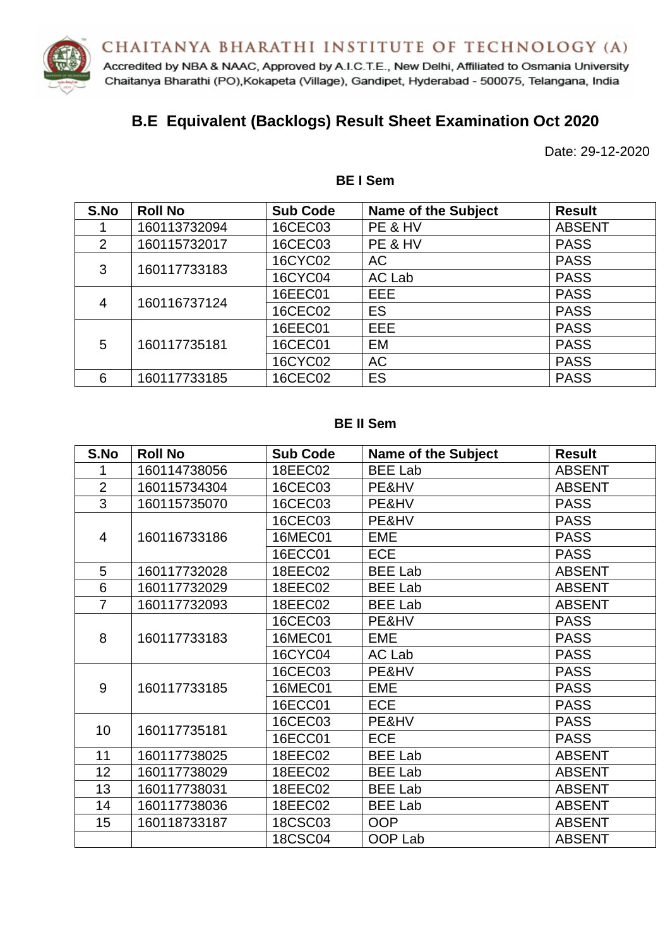

Accredited by NBA & NAAC, Approved by A.I.C.T.E., New Delhi, Affiliated to Osmania University Chaitanya Bharathi (PO), Kokapeta (Village), Gandipet, Hyderabad - 500075, Telangana, India

# **B.E Equivalent (Backlogs) Result Sheet Examination Oct 2020**

Date: 29-12-2020

| S.No | <b>Roll No</b> | <b>Sub Code</b> | <b>Name of the Subject</b> | <b>Result</b> |
|------|----------------|-----------------|----------------------------|---------------|
|      | 160113732094   | 16CEC03         | PE & HV                    | <b>ABSENT</b> |
| 2    | 160115732017   | 16CEC03         | PE & HV                    | <b>PASS</b>   |
| 3    | 160117733183   | 16CYC02         | <b>AC</b>                  | <b>PASS</b>   |
|      |                | 16CYC04         | AC Lab                     | <b>PASS</b>   |
| 4    | 160116737124   | 16EEC01         | EEE.                       | <b>PASS</b>   |
|      |                | 16CEC02         | <b>ES</b>                  | <b>PASS</b>   |
| 5    | 160117735181   | 16EEC01         | EEE                        | <b>PASS</b>   |
|      |                | 16CEC01         | EM                         | <b>PASS</b>   |
|      |                | 16CYC02         | <b>AC</b>                  | <b>PASS</b>   |
| 6    | 160117733185   | 16CEC02         | <b>ES</b>                  | <b>PASS</b>   |

## **BE I Sem**

#### **BE II Sem**

| S.No            | <b>Roll No</b> | <b>Sub Code</b> | <b>Name of the Subject</b> | <b>Result</b> |
|-----------------|----------------|-----------------|----------------------------|---------------|
| 1               | 160114738056   | 18EEC02         | <b>BEE Lab</b>             | <b>ABSENT</b> |
| $\overline{2}$  | 160115734304   | 16CEC03         | PE&HV                      | <b>ABSENT</b> |
| $\overline{3}$  | 160115735070   | 16CEC03         | PE&HV                      | <b>PASS</b>   |
|                 |                | 16CEC03         | PE&HV                      | <b>PASS</b>   |
| $\overline{4}$  | 160116733186   | <b>16MEC01</b>  | <b>EME</b>                 | <b>PASS</b>   |
|                 |                | 16ECC01         | <b>ECE</b>                 | <b>PASS</b>   |
| 5               | 160117732028   | 18EEC02         | <b>BEE Lab</b>             | <b>ABSENT</b> |
| 6               | 160117732029   | 18EEC02         | <b>BEE Lab</b>             | <b>ABSENT</b> |
| $\overline{7}$  | 160117732093   | 18EEC02         | <b>BEE Lab</b>             | <b>ABSENT</b> |
|                 | 160117733183   | 16CEC03         | PE&HV                      | <b>PASS</b>   |
| 8               |                | <b>16MEC01</b>  | EME                        | <b>PASS</b>   |
|                 |                | 16CYC04         | AC Lab                     | <b>PASS</b>   |
|                 | 160117733185   | 16CEC03         | PE&HV                      | <b>PASS</b>   |
| 9               |                | <b>16MEC01</b>  | <b>EME</b>                 | <b>PASS</b>   |
|                 |                | 16ECC01         | <b>ECE</b>                 | <b>PASS</b>   |
| 10 <sup>1</sup> |                | 16CEC03         | PE&HV                      | <b>PASS</b>   |
|                 | 160117735181   | 16ECC01         | <b>ECE</b>                 | <b>PASS</b>   |
| 11              | 160117738025   | 18EEC02         | <b>BEE Lab</b>             | <b>ABSENT</b> |
| 12              | 160117738029   | 18EEC02         | <b>BEE Lab</b>             | <b>ABSENT</b> |
| 13              | 160117738031   | 18EEC02         | <b>BEE Lab</b>             | <b>ABSENT</b> |
| 14              | 160117738036   | 18EEC02         | <b>BEE Lab</b>             | <b>ABSENT</b> |
| 15              | 160118733187   | 18CSC03         | <b>OOP</b>                 | <b>ABSENT</b> |
|                 |                | <b>18CSC04</b>  | OOP Lab                    | <b>ABSENT</b> |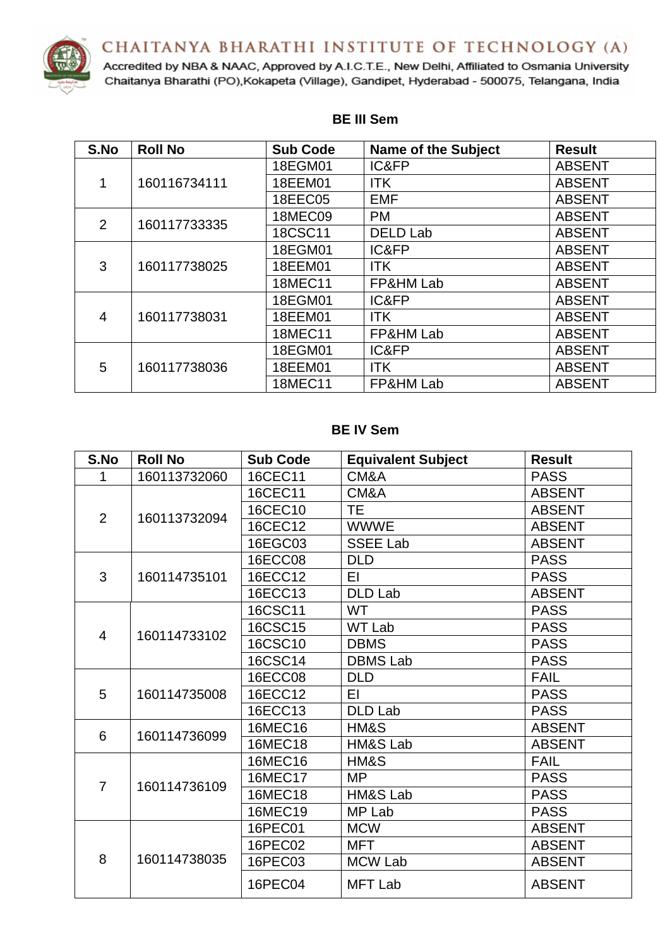CHAITANYA BHARATHI INSTITUTE OF TECHNOLOGY (A)



Accredited by NBA & NAAC, Approved by A.I.C.T.E., New Delhi, Affiliated to Osmania University Chaitanya Bharathi (PO), Kokapeta (Village), Gandipet, Hyderabad - 500075, Telangana, India

| S.No           | <b>Roll No</b> | <b>Sub Code</b> | <b>Name of the Subject</b> | <b>Result</b> |
|----------------|----------------|-----------------|----------------------------|---------------|
| $\mathbf{1}$   | 160116734111   | 18EGM01         | IC&FP                      | <b>ABSENT</b> |
|                |                | 18EEM01         | <b>ITK</b>                 | <b>ABSENT</b> |
|                |                | 18EEC05         | <b>EMF</b>                 | <b>ABSENT</b> |
| $\overline{2}$ | 160117733335   | <b>18MEC09</b>  | <b>PM</b>                  | <b>ABSENT</b> |
|                |                | 18CSC11         | <b>DELD Lab</b>            | <b>ABSENT</b> |
|                | 160117738025   | 18EGM01         | IC&FP                      | <b>ABSENT</b> |
| 3              |                | 18EEM01         | <b>ITK</b>                 | <b>ABSENT</b> |
|                |                | <b>18MEC11</b>  | FP&HM Lab                  | <b>ABSENT</b> |
|                | 160117738031   | 18EGM01         | IC&FP                      | <b>ABSENT</b> |
| 4              |                | 18EEM01         | <b>ITK</b>                 | <b>ABSENT</b> |
|                |                | <b>18MEC11</b>  | FP&HM Lab                  | <b>ABSENT</b> |
| 5              | 160117738036   | 18EGM01         | IC&FP                      | <b>ABSENT</b> |
|                |                | 18EEM01         | <b>ITK</b>                 | <b>ABSENT</b> |
|                |                | 18MEC11         | FP&HM Lab                  | <b>ABSENT</b> |

#### **BE III Sem**

#### **BE IV Sem**

| S.No           | <b>Roll No</b> | <b>Sub Code</b> | <b>Equivalent Subject</b> | <b>Result</b> |
|----------------|----------------|-----------------|---------------------------|---------------|
| 1              | 160113732060   | 16CEC11         | CM&A                      | <b>PASS</b>   |
| $\overline{2}$ | 160113732094   | 16CEC11         | CM&A                      | <b>ABSENT</b> |
|                |                | 16CEC10         | <b>TE</b>                 | <b>ABSENT</b> |
|                |                | 16CEC12         | <b>WWWE</b>               | <b>ABSENT</b> |
|                |                | 16EGC03         | <b>SSEE Lab</b>           | <b>ABSENT</b> |
|                |                | <b>16ECC08</b>  | <b>DLD</b>                | <b>PASS</b>   |
| 3              | 160114735101   | 16ECC12         | ΕI                        | <b>PASS</b>   |
|                |                | 16ECC13         | <b>DLD Lab</b>            | <b>ABSENT</b> |
|                | 160114733102   | 16CSC11         | <b>WT</b>                 | <b>PASS</b>   |
| 4              |                | 16CSC15         | <b>WT Lab</b>             | <b>PASS</b>   |
|                |                | 16CSC10         | <b>DBMS</b>               | <b>PASS</b>   |
|                |                | 16CSC14         | <b>DBMS Lab</b>           | <b>PASS</b>   |
|                | 160114735008   | 16ECC08         | <b>DLD</b>                | <b>FAIL</b>   |
| 5              |                | 16ECC12         | EI                        | <b>PASS</b>   |
|                |                | 16ECC13         | <b>DLD Lab</b>            | <b>PASS</b>   |
| 6              | 160114736099   | 16MEC16         | HM&S                      | <b>ABSENT</b> |
|                |                | 16MEC18         | HM&S Lab                  | <b>ABSENT</b> |
|                | 160114736109   | 16MEC16         | HM&S                      | <b>FAIL</b>   |
| $\overline{7}$ |                | 16MEC17         | <b>MP</b>                 | <b>PASS</b>   |
|                |                | 16MEC18         | HM&S Lab                  | <b>PASS</b>   |
|                |                | 16MEC19         | MP Lab                    | <b>PASS</b>   |
|                |                | 16PEC01         | <b>MCW</b>                | <b>ABSENT</b> |
|                | 160114738035   | 16PEC02         | <b>MFT</b>                | <b>ABSENT</b> |
| 8              |                | 16PEC03         | <b>MCW Lab</b>            | <b>ABSENT</b> |
|                |                | 16PEC04         | <b>MFT Lab</b>            | <b>ABSENT</b> |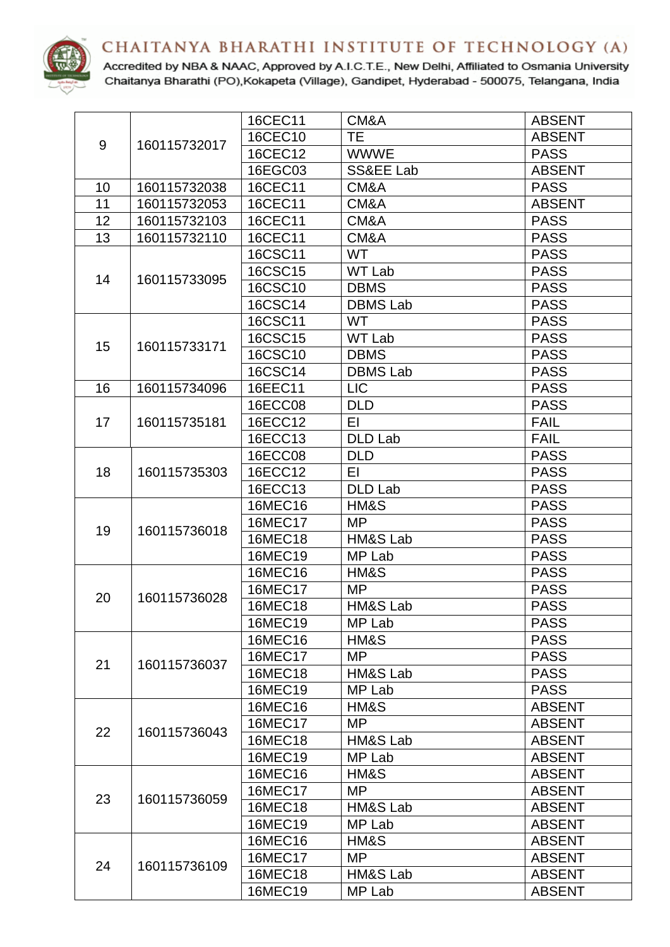



Accredited by NBA & NAAC, Approved by A.I.C.T.E., New Delhi, Affiliated to Osmania University Chaitanya Bharathi (PO), Kokapeta (Village), Gandipet, Hyderabad - 500075, Telangana, India

|    |              | 16CEC11        | CM&A            | <b>ABSENT</b> |
|----|--------------|----------------|-----------------|---------------|
| 9  | 160115732017 | 16CEC10        | <b>TE</b>       | <b>ABSENT</b> |
|    |              | 16CEC12        | <b>WWWE</b>     | <b>PASS</b>   |
|    |              | 16EGC03        | SS&EE Lab       | <b>ABSENT</b> |
| 10 | 160115732038 | 16CEC11        | CM&A            | <b>PASS</b>   |
| 11 | 160115732053 | 16CEC11        | CM&A            | <b>ABSENT</b> |
| 12 | 160115732103 | 16CEC11        | CM&A            | <b>PASS</b>   |
| 13 | 160115732110 | 16CEC11        | CM&A            | <b>PASS</b>   |
|    |              | 16CSC11        | <b>WT</b>       | <b>PASS</b>   |
| 14 | 160115733095 | 16CSC15        | <b>WT Lab</b>   | <b>PASS</b>   |
|    |              | 16CSC10        | <b>DBMS</b>     | <b>PASS</b>   |
|    |              | 16CSC14        | <b>DBMS Lab</b> | <b>PASS</b>   |
|    |              | 16CSC11        | <b>WT</b>       | <b>PASS</b>   |
| 15 | 160115733171 | 16CSC15        | <b>WT Lab</b>   | <b>PASS</b>   |
|    |              | 16CSC10        | <b>DBMS</b>     | <b>PASS</b>   |
|    |              | 16CSC14        | <b>DBMS Lab</b> | <b>PASS</b>   |
| 16 | 160115734096 | 16EEC11        | <b>LIC</b>      | <b>PASS</b>   |
|    |              | <b>16ECC08</b> | <b>DLD</b>      | <b>PASS</b>   |
| 17 | 160115735181 | 16ECC12        | ΕL              | <b>FAIL</b>   |
|    |              | 16ECC13        | <b>DLD Lab</b>  | <b>FAIL</b>   |
|    | 160115735303 | 16ECC08        | <b>DLD</b>      | <b>PASS</b>   |
| 18 |              | 16ECC12        | ΕI              | <b>PASS</b>   |
|    |              | 16ECC13        | <b>DLD Lab</b>  | <b>PASS</b>   |
|    | 160115736018 | 16MEC16        | HM&S            | <b>PASS</b>   |
| 19 |              | 16MEC17        | <b>MP</b>       | <b>PASS</b>   |
|    |              | 16MEC18        | HM&S Lab        | <b>PASS</b>   |
|    |              | 16MEC19        | MP Lab          | <b>PASS</b>   |
|    |              | 16MEC16        | HM&S            | <b>PASS</b>   |
| 20 | 160115736028 | 16MEC17        | <b>MP</b>       | <b>PASS</b>   |
|    |              | 16MEC18        | HM&S Lab        | <b>PASS</b>   |
|    |              | 16MEC19        | MP Lab          | <b>PASS</b>   |
|    |              | 16MEC16        | HM&S            | <b>PASS</b>   |
| 21 | 160115736037 | 16MEC17        | MP              | <b>PASS</b>   |
|    |              | 16MEC18        | HM&S Lab        | <b>PASS</b>   |
|    |              | 16MEC19        | MP Lab          | <b>PASS</b>   |
|    |              | 16MEC16        | HM&S            | <b>ABSENT</b> |
| 22 | 160115736043 | 16MEC17        | MP              | <b>ABSENT</b> |
|    |              | 16MEC18        | HM&S Lab        | <b>ABSENT</b> |
|    |              | 16MEC19        | MP Lab          | <b>ABSENT</b> |
| 23 |              | 16MEC16        | HM&S            | <b>ABSENT</b> |
|    | 160115736059 | 16MEC17        | <b>MP</b>       | <b>ABSENT</b> |
|    |              | 16MEC18        | HM&S Lab        | <b>ABSENT</b> |
|    |              | 16MEC19        | MP Lab          | <b>ABSENT</b> |
|    |              | 16MEC16        | HM&S            | <b>ABSENT</b> |
| 24 | 160115736109 | <b>16MEC17</b> | <b>MP</b>       | <b>ABSENT</b> |
|    |              | 16MEC18        | HM&S Lab        | <b>ABSENT</b> |
|    |              | 16MEC19        | MP Lab          | <b>ABSENT</b> |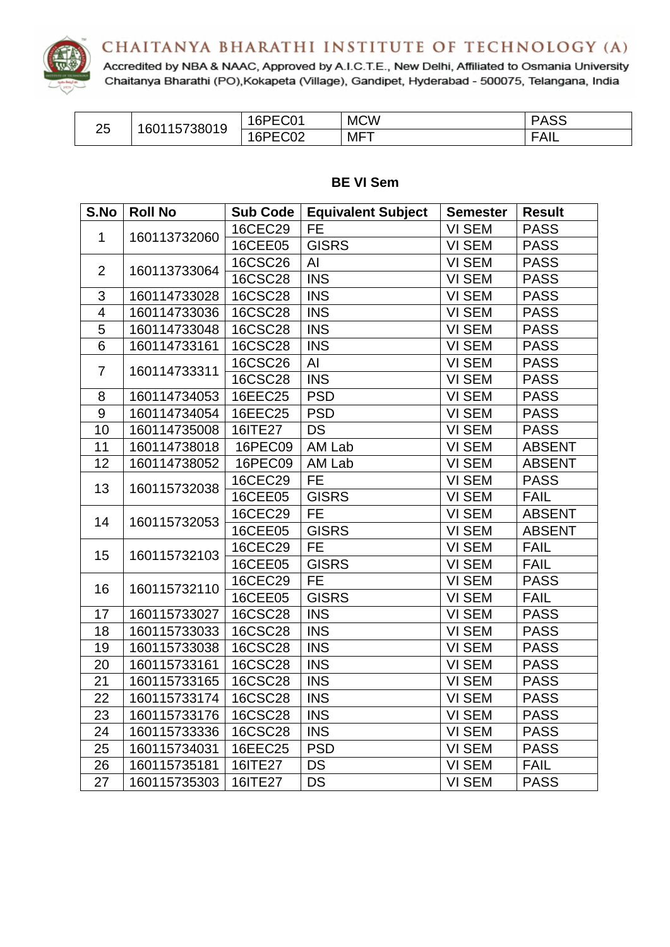



Accredited by NBA & NAAC, Approved by A.I.C.T.E., New Delhi, Affiliated to Osmania University Chaitanya Bharathi (PO), Kokapeta (Village), Gandipet, Hyderabad - 500075, Telangana, India

| つに<br>∠◡ | 5738019<br>1601157、 | $\sim$ $\sim$ $\sim$<br>ュドレトー<br>JU.<br>ושי | <b>MCW</b> | <b>ASS</b><br>$\overline{\phantom{a}}$ |
|----------|---------------------|---------------------------------------------|------------|----------------------------------------|
|          |                     | .∩∩^<br>ィドレトロ<br>∿ ∠<br>ັບເ                 | MFT        | FAIL                                   |

# **BE VI Sem**

| S.No                    | <b>Roll No</b> | Sub Code       | <b>Equivalent Subject</b> | <b>Semester</b>     | <b>Result</b> |
|-------------------------|----------------|----------------|---------------------------|---------------------|---------------|
| 1                       | 160113732060   | 16CEC29        | <b>FE</b>                 | VI SEM              | <b>PASS</b>   |
|                         |                | 16CEE05        | <b>GISRS</b>              | <b>VI SEM</b>       | <b>PASS</b>   |
| $\overline{2}$          | 160113733064   | <b>16CSC26</b> | Al                        | VI SEM              | <b>PASS</b>   |
|                         |                | <b>16CSC28</b> | <b>INS</b>                | VI SEM              | <b>PASS</b>   |
| 3                       | 160114733028   | <b>16CSC28</b> | <b>INS</b>                | VI SEM              | <b>PASS</b>   |
| $\overline{\mathbf{4}}$ | 160114733036   | <b>16CSC28</b> | <b>INS</b>                | VI SEM              | <b>PASS</b>   |
| $\overline{5}$          | 160114733048   | <b>16CSC28</b> | <b>INS</b>                | <b>VI SEM</b>       | <b>PASS</b>   |
| 6                       | 160114733161   | <b>16CSC28</b> | <b>INS</b>                | VI SEM              | <b>PASS</b>   |
| 7                       |                | <b>16CSC26</b> | AI                        | VI SEM              | <b>PASS</b>   |
|                         | 160114733311   | <b>16CSC28</b> | <b>INS</b>                | VI SEM              | <b>PASS</b>   |
| 8                       | 160114734053   | 16EEC25        | <b>PSD</b>                | VI SEM              | <b>PASS</b>   |
| $\boldsymbol{9}$        | 160114734054   | 16EEC25        | <b>PSD</b>                | VI SEM              | <b>PASS</b>   |
| 10                      | 160114735008   | 16ITE27        | <b>DS</b>                 | VI SEM              | <b>PASS</b>   |
| 11                      | 160114738018   | 16PEC09        | AM Lab                    | VI SEM              | <b>ABSENT</b> |
| 12                      | 160114738052   | 16PEC09        | AM Lab                    | VI SEM              | <b>ABSENT</b> |
| 13                      | 160115732038   | 16CEC29        | <b>FE</b>                 | VI SEM              | <b>PASS</b>   |
|                         |                | 16CEE05        | <b>GISRS</b>              | VI SEM              | <b>FAIL</b>   |
| 14                      | 160115732053   | 16CEC29        | <b>FE</b>                 | VI SEM              | <b>ABSENT</b> |
|                         |                | <b>16CEE05</b> | <b>GISRS</b>              | VI SEM              | <b>ABSENT</b> |
| 15                      | 160115732103   | 16CEC29        | <b>FE</b>                 | VI SEM              | <b>FAIL</b>   |
|                         |                | 16CEE05        | <b>GISRS</b>              | VI SEM              | <b>FAIL</b>   |
| 16                      | 160115732110   | 16CEC29        | <b>FE</b>                 | VI SEM              | <b>PASS</b>   |
|                         |                | <b>16CEE05</b> | <b>GISRS</b>              | VI SEM              | <b>FAIL</b>   |
| 17                      | 160115733027   | <b>16CSC28</b> | <b>INS</b>                | VI SEM              | <b>PASS</b>   |
| 18                      | 160115733033   | <b>16CSC28</b> | <b>INS</b>                | VI SEM              | <b>PASS</b>   |
| 19                      | 160115733038   | <b>16CSC28</b> | <b>INS</b>                | VI SEM              | <b>PASS</b>   |
| 20                      | 160115733161   | <b>16CSC28</b> | <b>INS</b>                | $\overline{VI}$ SEM | <b>PASS</b>   |
| 21                      | 160115733165   | <b>16CSC28</b> | <b>INS</b>                | VI SEM              | <b>PASS</b>   |
| 22                      | 160115733174   | <b>16CSC28</b> | <b>INS</b>                | VI SEM              | <b>PASS</b>   |
| 23                      | 160115733176   | <b>16CSC28</b> | <b>INS</b>                | VI SEM              | <b>PASS</b>   |
| 24                      | 160115733336   | <b>16CSC28</b> | <b>INS</b>                | VI SEM              | <b>PASS</b>   |
| 25                      | 160115734031   | 16EEC25        | <b>PSD</b>                | VI SEM              | <b>PASS</b>   |
| 26                      | 160115735181   | 16ITE27        | <b>DS</b>                 | VI SEM              | <b>FAIL</b>   |
| 27                      | 160115735303   | 16ITE27        | DS                        | VI SEM              | <b>PASS</b>   |